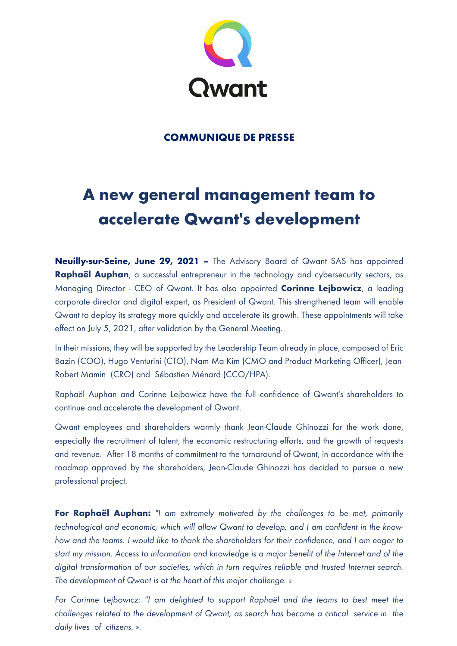

## **COMMUNIQUE DE PRESSE**

# **A new general management team to accelerate Qwant's development**

**Neuilly-sur-Seine, June 29, 2021 –** The Advisory Board of Qwant SAS has appointed **Raphaël Auphan**, a successful entrepreneur in the technology and cybersecurity sectors, as Managing Director - CEO of Qwant. It has also appointed **Corinne Lejbowicz**, a leading corporate director and digital expert, as President of Qwant. This strengthened team will enable Qwant to deploy its strategy more quickly and accelerate its growth. These appointments will take effect on July 5, 2021, after validation by the General Meeting.

In their missions, they will be supported by the Leadership Team already in place, composed of Eric Bazin (COO), Hugo Venturini (CTO), Nam Ma Kim (CMO and Product Marketing Officer), Jean-Robert Mamin (CRO) and Sébastien Ménard (CCO/HPA).

Raphaël Auphan and Corinne Lejbowicz have the full confidence of Qwant's shareholders to continue and accelerate the development of Qwant.

Qwant employees and shareholders warmly thank Jean-Claude Ghinozzi for the work done, especially the recruitment of talent, the economic restructuring efforts, and the growth of requests and revenue. After 18 months of commitment to the turnaround of Qwant, in accordance with the roadmap approved by the shareholders, Jean-Claude Ghinozzi has decided to pursue a new professional project.

**For Raphaël Auphan:** *"I am extremely motivated by the challenges to be met, primarily technological and economic, which will allow Qwant to develop, and I am confident in the knowhow and the teams. I would like to thank the shareholders for their confidence, and I am eager to start my mission. Access to information and knowledge is a major benefit of the Internet and of the digital transformation of our societies, which in turn requires reliable and trusted Internet search. The development of Qwant is at the heart of this major challenge. »*

*For Corinne Lejbowicz: "I am delighted to support Raphaël and the teams to best meet the challenges related to the development of Qwant, as search has become a critical service in the daily lives of citizens. ».*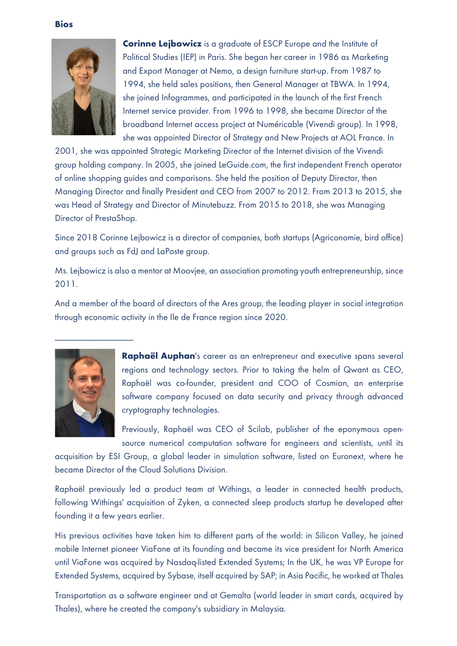

**Corinne Lejbowicz** is a graduate of ESCP Europe and the Institute of Political Studies (IEP) in Paris. She began her career in 1986 as Marketing and Export Manager at Nemo, a design furniture start-up. From 1987 to 1994, she held sales positions, then General Manager at TBWA. In 1994, she joined Infogrammes, and participated in the launch of the first French Internet service provider. From 1996 to 1998, she became Director of the broadband Internet access project at Numéricable (Vivendi group). In 1998, she was appointed Director of Strategy and New Projects at AOL France. In

2001, she was appointed Strategic Marketing Director of the Internet division of the Vivendi group holding company. In 2005, she joined LeGuide.com, the first independent French operator of online shopping guides and comparisons. She held the position of Deputy Director, then Managing Director and finally President and CEO from 2007 to 2012. From 2013 to 2015, she was Head of Strategy and Director of Minutebuzz. From 2015 to 2018, she was Managing Director of PrestaShop.

Since 2018 Corinne Lejbowicz is a director of companies, both startups (Agriconomie, bird office) and groups such as FdJ and LaPoste group.

Ms. Lejbowicz is also a mentor at Moovjee, an association promoting youth entrepreneurship, since 2011.

And a member of the board of directors of the Ares group, the leading player in social integration through economic activity in the Ile de France region since 2020.



**Raphaël Auphan**'s career as an entrepreneur and executive spans several regions and technology sectors. Prior to taking the helm of Qwant as CEO, Raphaël was co-founder, president and COO of Cosmian, an enterprise software company focused on data security and privacy through advanced cryptography technologies.

Previously, Raphaël was CEO of Scilab, publisher of the eponymous opensource numerical computation software for engineers and scientists, until its

acquisition by ESI Group, a global leader in simulation software, listed on Euronext, where he became Director of the Cloud Solutions Division.

Raphaël previously led a product team at Withings, a leader in connected health products, following Withings' acquisition of Zyken, a connected sleep products startup he developed after founding it a few years earlier.

His previous activities have taken him to different parts of the world: in Silicon Valley, he joined mobile Internet pioneer ViaFone at its founding and became its vice president for North America until ViaFone was acquired by Nasdaq-listed Extended Systems; In the UK, he was VP Europe for Extended Systems, acquired by Sybase, itself acquired by SAP; in Asia Pacific, he worked at Thales

Transportation as a software engineer and at Gemalto (world leader in smart cards, acquired by Thales), where he created the company's subsidiary in Malaysia.